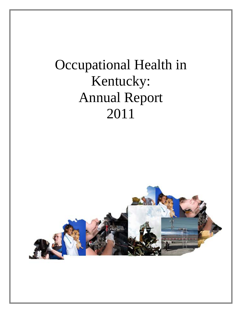# Occupational Health in Kentucky: Annual Report 2011

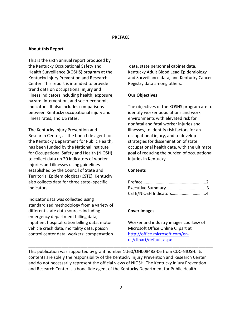#### **PREFACE**

## **About this Report**

This is the sixth annual report produced by the Kentucky Occupational Safety and Health Surveillance (KOSHS) program at the Kentucky Injury Prevention and Research Center. This report is intended to provide trend data on occupational injury and illness indicators including health, exposure, hazard, intervention, and socio-economic indicators. It also includes comparisons between Kentucky occupational injury and illness rates, and US rates.

The Kentucky Injury Prevention and Research Center, as the bona fide agent for the Kentucky Department for Public Health, has been funded by the National Institute for Occupational Safety and Health (NIOSH) to collect data on 20 indicators of worker injuries and illnesses using guidelines established by the Council of State and Territorial Epidemiologists (CSTE). Kentucky also collects data for three state- specific indicators.

Indicator data was collected using standardized methodology from a variety of different state data sources including emergency department billing data, inpatient hospitalization billing data, motor vehicle crash data, mortality data, poison control center data, workers' compensation

data, state personnel cabinet data, Kentucky Adult Blood Lead Epidemiology and Surveillance data, and Kentucky Cancer Registry data among others.

# **Our Objectives**

The objectives of the KOSHS program are to identify worker populations and work environments with elevated risk for nonfatal and fatal worker injuries and illnesses, to identify risk factors for an occupational injury, and to develop strategies for dissemination of state occupational health data, with the ultimate goal of reducing the burden of occupational injuries in Kentucky.

#### **Contents**

| CSTE/NIOSH Indicators4 |  |
|------------------------|--|

# **Cover Images**

Worker and industry images courtesy of Microsoft Office Online Clipart at [http://office.microsoft.com/en](http://office.microsoft.com/en-us/clipart/default.aspx)[us/clipart/default.aspx](http://office.microsoft.com/en-us/clipart/default.aspx)

This publication was supported by grant number 1U60/OH008483-06 from CDC-NIOSH. Its contents are solely the responsibility of the Kentucky Injury Prevention and Research Center and do not necessarily represent the official views of NIOSH. The Kentucky Injury Prevention and Research Center is a bona fide agent of the Kentucky Department for Public Health.

\_\_\_\_\_\_\_\_\_\_\_\_\_\_\_\_\_\_\_\_\_\_\_\_\_\_\_\_\_\_\_\_\_\_\_\_\_\_\_\_\_\_\_\_\_\_\_\_\_\_\_\_\_\_\_\_\_\_\_\_\_\_\_\_\_\_\_\_\_\_\_\_\_\_\_\_\_\_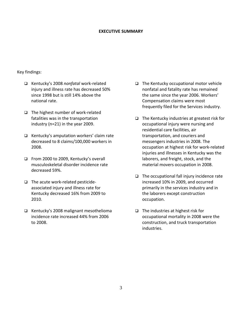#### **EXECUTIVE SUMMARY**

#### Key findings:

- Kentucky's 2008 *nonfatal* work-related injury and illness rate has decreased 50% since 1998 but is still 14% above the national rate.
- $\Box$  The highest number of work-related fatalities was in the transportation industry (n=21) in the year 2009.
- $\Box$  Kentucky's amputation workers' claim rate decreased to 8 claims/100,000 workers in 2008.
- From 2000 to 2009, Kentucky's overall musculoskeletal disorder incidence rate decreased 59%.
- $\Box$  The acute work-related pesticideassociated injury and illness rate for Kentucky decreased 16% from 2009 to 2010.
- $\Box$  Kentucky's 2008 malignant mesothelioma incidence rate increased 44% from 2006 to 2008.
- $\Box$  The Kentucky occupational motor vehicle nonfatal and fatality rate has remained the same since the year 2006. Workers' Compensation claims were most frequently filed for the Services industry.
- $\Box$  The Kentucky industries at greatest risk for occupational injury were nursing and residential care facilities, air transportation, and couriers and messengers industries in 2008. The occupation at highest risk for work-related injuries and illnesses in Kentucky was the laborers, and freight, stock, and the material movers occupation in 2008.
- $\Box$  The occupational fall injury incidence rate increased 10% in 2009, and occurred primarily in the services industry and in the laborers except construction occupation.
- $\Box$  The industries at highest risk for occupational mortality in 2008 were the construction, and truck transportation industries.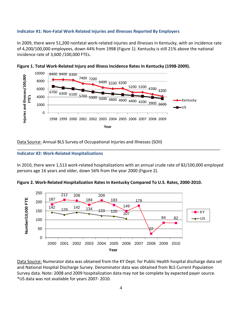#### **Indicator #1: Non-Fatal Work Related Injuries and Illnesses Reported By Employers**

In 2009, there were 51,200 nonfatal work-related injuries and illnesses in Kentucky, with an incidence rate of 4,200/100,000 employees, down 44% from 1998 (Figure 1). Kentucky is still 21% above the national incidence rate of 3,600 /100,000 FTEs.





Data Source: Annual BLS Survey of Occupational Injuries and Illnesses (SOII)

#### **Indicator #2: Work-Related Hospitalizations**

In 2010, there were 1,513 work-related hospitalizations with an annual crude rate of 82/100,000 employed persons age 16 years and older, down 56% from the year 2000 (Figure 2).

\_\_\_\_\_\_\_\_\_\_\_\_\_\_\_\_\_\_\_\_\_\_\_\_\_\_\_\_\_\_\_\_\_\_\_\_\_\_\_\_\_\_\_\_\_\_\_\_\_\_\_\_\_\_\_\_\_\_\_\_\_\_\_\_\_\_\_\_\_\_\_\_\_\_\_\_\_\_\_\_\_\_\_\_\_\_





Data Source: Numerator data was obtained from the KY Dept. for Public Health hospital discharge data set and National Hospital Discharge Survey. Denominator data was obtained from BLS Current Population Survey data. Note: 2008 and 2009 hospitalization data may not be complete by expected payer source. \*US data was not available for years 2007- 2010.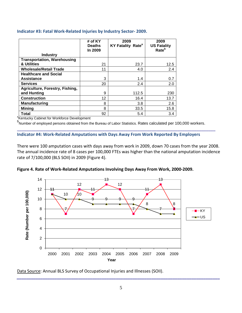#### **Indicator #3: Fatal Work-Related Injuries by Industry Sector- 2009.**

|                                                         | # of KY<br><b>Deaths</b><br>In 2009 | 2009<br><b>KY Fatality Rate<sup>a</sup></b> | 2009<br><b>US Fatality</b><br>Rate <sup>b</sup> |
|---------------------------------------------------------|-------------------------------------|---------------------------------------------|-------------------------------------------------|
| <b>Industry</b>                                         |                                     |                                             |                                                 |
| <b>Transportation, Warehousing</b>                      |                                     |                                             |                                                 |
| & Utilities                                             | 21                                  | 23.7                                        | 12.5                                            |
| <b>Wholesale/Retail Trade</b>                           | 11                                  | 4.0                                         | 2.4                                             |
| <b>Healthcare and Social</b>                            |                                     |                                             |                                                 |
| <b>Assistance</b>                                       | 3                                   | 1.4                                         | 0.7                                             |
| <b>Services</b>                                         | 20                                  | 2.4                                         | 2.0                                             |
| Agriculture, Forestry, Fishing,                         |                                     |                                             |                                                 |
| and Hunting                                             | 9                                   | 112.5                                       | 230                                             |
| <b>Construction</b>                                     | 12                                  | 16.4                                        | 13.7                                            |
| <b>Manufacturing</b>                                    | 8                                   | 3.8                                         | 2.6                                             |
| Mining                                                  | 8                                   | 33.5                                        | 15.8                                            |
| Total                                                   | 92                                  | 5.4                                         | 3.4                                             |
| <sup>a</sup> Kentucky Cabinet for Workforce Development |                                     |                                             |                                                 |

<sup>b</sup>Number of employed persons obtained from the Bureau of Labor Statistics. Rates calculated per 100,000 workers.

\_\_\_\_\_\_\_\_\_\_\_\_\_\_\_\_\_\_\_\_\_\_\_\_\_\_\_\_\_\_\_\_\_\_\_\_\_\_\_\_\_\_\_\_\_\_\_\_\_\_\_\_\_\_\_\_\_\_\_\_\_\_\_\_\_\_\_\_\_\_\_\_\_\_\_\_\_\_\_\_\_\_\_\_

**Indicator #4: Work-Related Amputations with Days Away From Work Reported By Employers**

There were 100 amputation cases with days away from work in 2009, down 70 cases from the year 2008. The annual incidence rate of 8 cases per 100,000 FTEs was higher than the national amputation incidence rate of 7/100,000 (BLS SOII) in 2009 (Figure 4).





Data Source: Annual BLS Survey of Occupational Injuries and Illnesses (SOII).

*\_\_\_\_\_\_\_\_\_\_\_\_\_\_\_\_\_\_\_\_\_\_\_\_\_\_\_\_\_\_\_\_\_\_\_\_\_\_\_\_\_\_\_\_\_\_\_\_\_\_\_\_\_\_\_\_\_\_\_\_\_\_\_\_\_\_\_\_\_\_\_\_\_\_\_\_\_\_\_\_\_\_\_\_\_\_*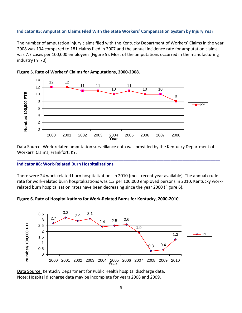#### **Indicator #5: Amputation Claims Filed With the State Workers' Compensation System by Injury Year**

The number of amputation injury claims filed with the Kentucky Department of Workers' Claims in the year 2008 was 134 compared to 181 claims filed in 2007 and the annual incidence rate for amputation claims was 7.7 cases per 100,000 employees (Figure 5). Most of the amputations occurred in the manufacturing industry (n=70).





Data Source: Work-related amputation surveillance data was provided by the Kentucky Department of Workers' Claims, Frankfort, KY.

\_\_\_\_\_\_\_\_\_\_\_\_\_\_\_\_\_\_\_\_\_\_\_\_\_\_\_\_\_\_\_\_\_\_\_\_\_\_\_\_\_\_\_\_\_\_\_\_\_\_\_\_\_\_\_\_\_\_\_\_\_\_\_\_\_\_\_\_\_\_\_\_\_\_\_\_\_\_\_\_\_\_\_\_\_\_

#### **Indicator #6: Work-Related Burn Hospitalizations**

There were 24 work-related burn hospitalizations in 2010 (most recent year available). The annual crude rate for work-related burn hospitalizations was 1.3 per 100,000 employed persons in 2010. Kentucky workrelated burn hospitalization rates have been decreasing since the year 2000 (Figure 6).





Data Source: Kentucky Department for Public Health hospital discharge data. Note: Hospital discharge data may be incomplete for years 2008 and 2009.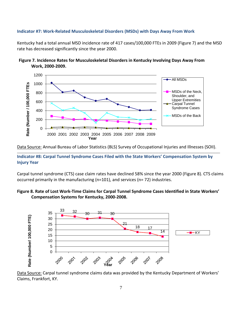# **Indicator #7: Work-Related Musculoskeletal Disorders (MSDs) with Days Away From Work**

Kentucky had a total annual MSD incidence rate of 417 cases/100,000 FTEs in 2009 (Figure 7) and the MSD rate has decreased significantly since the year 2000.





Data Source: Annual Bureau of Labor Statistics (BLS) Survey of Occupational Injuries and Illnesses (SOII). \_\_\_\_\_\_\_\_\_\_\_\_\_\_\_\_\_\_\_\_\_\_\_\_\_\_\_\_\_\_\_\_\_\_\_\_\_\_\_\_\_\_\_\_\_\_\_\_\_\_\_\_\_\_\_\_\_\_\_\_\_\_\_\_\_\_\_\_\_\_\_\_\_\_\_\_\_\_\_\_\_\_\_\_\_\_\_\_\_\_\_\_\_\_\_\_\_\_\_\_\_\_\_\_\_\_\_\_\_\_\_\_\_\_\_\_\_\_\_\_\_\_\_\_\_\_\_\_\_

**Indicator #8: Carpal Tunnel Syndrome Cases Filed with the State Workers' Compensation System by Injury Year**

Carpal tunnel syndrome (CTS) case claim rates have declined 58% since the year 2000 (Figure 8). CTS claims occurred primarily in the manufacturing (n=101), and services (n= 72) industries.

# **Figure 8. Rate of Lost Work-Time Claims for Carpal Tunnel Syndrome Cases Identified in State Workers' Compensation Systems for Kentucky, 2000-2008.**



Data Source: Carpal tunnel syndrome claims data was provided by the Kentucky Department of Workers' Claims, Frankfort, KY.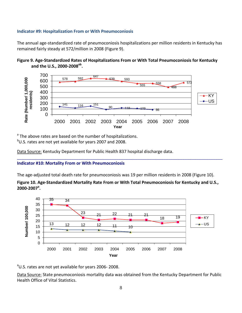#### **Indicator #9: Hospitalization From or With Pneumoconiosis**

The annual age-standardized rate of pneumoconiosis hospitalizations per million residents in Kentucky has remained fairly steady at 572/million in 2008 (Figure 9).





<sup>a</sup> The above rates are based on the number of hospitalizations.

<sup>b</sup>U.S. rates are not yet available for years 2007 and 2008.

Data Source: Kentucky Department for Public Health 837 hospital discharge data.

#### **Indicator #10: Mortality From or With Pneumoconiosis**

The age-adjusted total death rate for pneumoconiosis was 19 per million residents in 2008 (Figure 10).

**Figure 10. Age-Standardized Mortality Rate From or With Total Pneumoconiosis for Kentucky and U.S., 2000-2007<sup>a</sup> .**

\_\_\_\_\_\_\_\_\_\_\_\_\_\_\_\_\_\_\_\_\_\_\_\_\_\_\_\_\_\_\_\_\_\_\_\_\_\_\_\_\_\_\_\_\_\_\_\_\_\_\_\_\_\_\_\_\_\_\_\_\_\_\_\_\_\_\_\_\_\_\_\_\_\_\_\_\_\_\_\_\_\_\_\_\_\_\_



<sup>a</sup>U.S. rates are not yet available for years 2006-2008.

Data Source: State pneumoconiosis mortality data was obtained from the Kentucky Department for Public Health Office of Vital Statistics.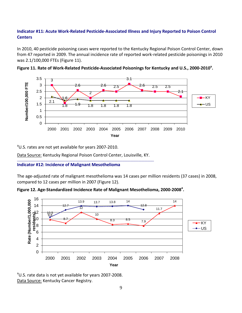# **Indicator #11: Acute Work-Related Pesticide-Associated Illness and Injury Reported to Poison Control Centers**

In 2010, 40 pesticide poisoning cases were reported to the Kentucky Regional Poison Control Center, down from 47 reported in 2009. The annual incidence rate of reported work-related pesticide poisonings in 2010 was 2.1/100,000 FTEs (Figure 11).





<sup>a</sup>U.S. rates are not yet available for years 2007-2010.

Data Source: Kentucky Regional Poison Control Center, Louisville, KY.  $\mathcal{L}_\mathcal{L} = \{ \mathcal{L}_\mathcal{L} = \{ \mathcal{L}_\mathcal{L} = \{ \mathcal{L}_\mathcal{L} = \{ \mathcal{L}_\mathcal{L} = \{ \mathcal{L}_\mathcal{L} = \{ \mathcal{L}_\mathcal{L} = \{ \mathcal{L}_\mathcal{L} = \{ \mathcal{L}_\mathcal{L} = \{ \mathcal{L}_\mathcal{L} = \{ \mathcal{L}_\mathcal{L} = \{ \mathcal{L}_\mathcal{L} = \{ \mathcal{L}_\mathcal{L} = \{ \mathcal{L}_\mathcal{L} = \{ \mathcal{L}_\mathcal{$ 

#### **Indicator #12: Incidence of Malignant Mesothelioma**

The age-adjusted rate of malignant mesothelioma was 14 cases per million residents (37 cases) in 2008, compared to 12 cases per million in 2007 (Figure 12).





<sup>a</sup>U.S. rate data is not yet available for years 2007-2008. Data Source: Kentucky Cancer Registry.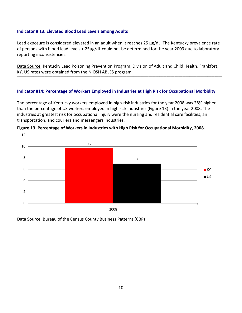#### **Indicator # 13: Elevated Blood Lead Levels among Adults**

Lead exposure is considered elevated in an adult when it reaches 25 µg/dL. The Kentucky prevalence rate of persons with blood lead levels  $\geq 25 \mu$ g/dL could not be determined for the year 2009 due to laboratory reporting inconsistencies.

Data Source: Kentucky Lead Poisoning Prevention Program, Division of Adult and Child Health, Frankfort, KY. US rates were obtained from the NIOSH ABLES program.

#### **Indicator #14: Percentage of Workers Employed in Industries at High Risk for Occupational Morbidity**

The percentage of Kentucky workers employed in high-risk industries for the year 2008 was 28% higher than the percentage of US workers employed in high risk industries (Figure 13) in the year 2008. The industries at greatest risk for occupational injury were the nursing and residential care facilities, air transportation, and couriers and messengers industries.



**Figure 13. Percentage of Workers in Industries with High Risk for Occupational Morbidity, 2008.**

Data Source: Bureau of the Census County Business Patterns (CBP)

\_\_\_\_\_\_\_\_\_\_\_\_\_\_\_\_\_\_\_\_\_\_\_\_\_\_\_\_\_\_\_\_\_\_\_\_\_\_\_\_\_\_\_\_\_\_\_\_\_\_\_\_\_\_\_\_\_\_\_\_\_\_\_\_\_\_\_\_\_\_\_\_\_\_\_\_\_\_\_\_\_\_\_\_\_\_\_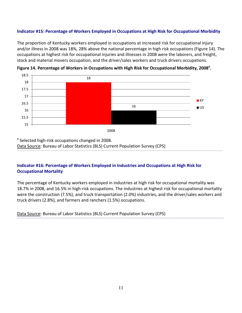# **Indicator #15: Percentage of Workers Employed in Occupations at High Risk for Occupational Morbidity**

The proportion of Kentucky workers employed in occupations at increased risk for occupational injury and/or illness in 2008 was 18%, 28% above the national percentage in high risk occupations (Figure 14). The occupations at highest risk for occupational injuries and illnesses in 2008 were the laborers, and freight, stock and material movers occupation, and the driver/sales workers and truck drivers occupations.



**Figure 14. Percentage of Workers in Occupations with High Risk for Occupational Morbidity, 2008<sup>a</sup> .**

**Indicator #16: Percentage of Workers Employed in Industries and Occupations at High Risk for Occupational Mortality**

The percentage of Kentucky workers employed in industries at high risk for occupational mortality was 18.7% in 2008, and 16.5% in high-risk occupations. The industries at highest risk for occupational mortality were the construction (7.5%), and truck transportation (2.0%) industries, and the driver/sales workers and truck drivers (2.8%), and farmers and ranchers (1.5%) occupations.

| Data Source: Bureau of Labor Statistics (BLS) Current Population Survey (CPS) |
|-------------------------------------------------------------------------------|
|-------------------------------------------------------------------------------|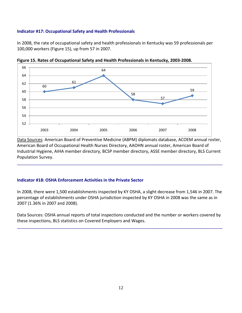# **Indicator #17: Occupational Safety and Health Professionals**

In 2008, the rate of occupational safety and health professionals in Kentucky was 59 professionals per 100,000 workers (Figure 15), up from 57 in 2007.



**Figure 15. Rates of Occupational Safety and Health Professionals in Kentucky, 2003-2008.**

Data Sources: American Board of Preventive Medicine (ABPM) diplomats database, ACOEM annual roster, American Board of Occupational Health Nurses Directory, AAOHN annual roster, American Board of Industrial Hygiene, AIHA member directory, BCSP member directory, ASSE member directory, BLS Current Population Survey.

#### **Indicator #18: OSHA Enforcement Activities in the Private Sector**

In 2008, there were 1,500 establishments inspected by KY OSHA, a slight decrease from 1,546 in 2007. The percentage of establishments under OSHA jurisdiction inspected by KY OSHA in 2008 was the same as in 2007 (1.36% in 2007 and 2008).

Data Sources: OSHA annual reports of total inspections conducted and the number or workers covered by these inspections, BLS statistics on Covered Employers and Wages.

 $\mathcal{L}_\mathcal{L} = \{ \mathcal{L}_\mathcal{L} = \{ \mathcal{L}_\mathcal{L} = \{ \mathcal{L}_\mathcal{L} = \{ \mathcal{L}_\mathcal{L} = \{ \mathcal{L}_\mathcal{L} = \{ \mathcal{L}_\mathcal{L} = \{ \mathcal{L}_\mathcal{L} = \{ \mathcal{L}_\mathcal{L} = \{ \mathcal{L}_\mathcal{L} = \{ \mathcal{L}_\mathcal{L} = \{ \mathcal{L}_\mathcal{L} = \{ \mathcal{L}_\mathcal{L} = \{ \mathcal{L}_\mathcal{L} = \{ \mathcal{L}_\mathcal{$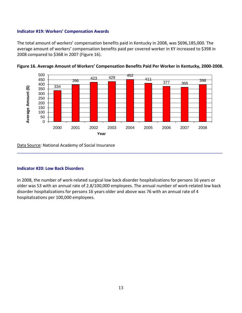# **Indicator #19: Workers' Compensation Awards**

The total amount of workers' compensation benefits paid in Kentucky in 2008, was \$696,185,000. The average amount of workers' compensation benefits paid per covered worker in KY increased to \$398 in 2008 compared to \$368 in 2007 (Figure 16).



**Figure 16. Average Amount of Workers' Compensation Benefits Paid Per Worker in Kentucky, 2000-2008.**

Data Source: National Academy of Social Insurance

#### **Indicator #20: Low Back Disorders**

In 2008, the number of work-related surgical low back disorder hospitalizations for persons 16 years or older was 53 with an annual rate of 2.8/100,000 employees. The annual number of work-related low back disorder hospitalizations for persons 16 years older and above was 76 with an annual rate of 4 hospitalizations per 100,000 employees.

\_\_\_\_\_\_\_\_\_\_\_\_\_\_\_\_\_\_\_\_\_\_\_\_\_\_\_\_\_\_\_\_\_\_\_\_\_\_\_\_\_\_\_\_\_\_\_\_\_\_\_\_\_\_\_\_\_\_\_\_\_\_\_\_\_\_\_\_\_\_\_\_\_\_\_\_\_\_\_\_\_\_\_\_\_\_\_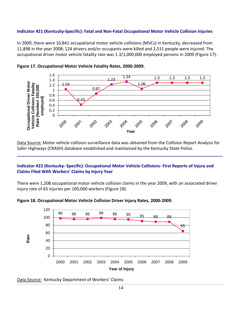# **Indicator #21 (Kentucky-Specific): Fatal and Non-Fatal Occupational Motor Vehicle Collision Injuries**

In 2009, there were 10,841 occupational motor vehicle collisions (MVCs) in Kentucky, decreased from 11,898 in the year 2008; 124 drivers and/or occupants were killed and 2,531 people were injured. The occupational driver motor vehicle fatality rate was 1.3/1,000,000 employed persons in 2009 (Figure 17).





Data Source: Motor vehicle collision surveillance data was obtained from the Collision Report Analysis for Safer Highways (CRASH) database established and maintained by the Kentucky State Police.

**\_\_\_\_\_\_\_\_\_\_\_\_\_\_\_\_\_\_\_\_\_\_\_\_\_\_\_\_\_\_\_\_\_\_\_\_\_\_\_\_\_\_\_\_\_\_\_\_\_\_\_\_\_\_\_\_\_\_\_\_\_\_\_\_\_\_\_\_\_\_\_\_\_\_\_\_\_\_\_\_\_\_\_\_\_\_\_**

# **Indicator #22 (Kentucky- Specific): Occupational Motor Vehicle Collisions- First Reports of Injury and Claims Filed With Workers' Claims by Injury Year**

There were 1,208 occupational motor vehicle collision claims in the year 2009, with an associated driver injury rate of 65 injuries per 100,000 workers (Figure 18).





Data Source: Kentucky Department of Workers' Claims

0 20

40 60

**Rate**

2000 2001 2002 2003 2004 2005 2006 2007 2008 2009

**Year of Injury**